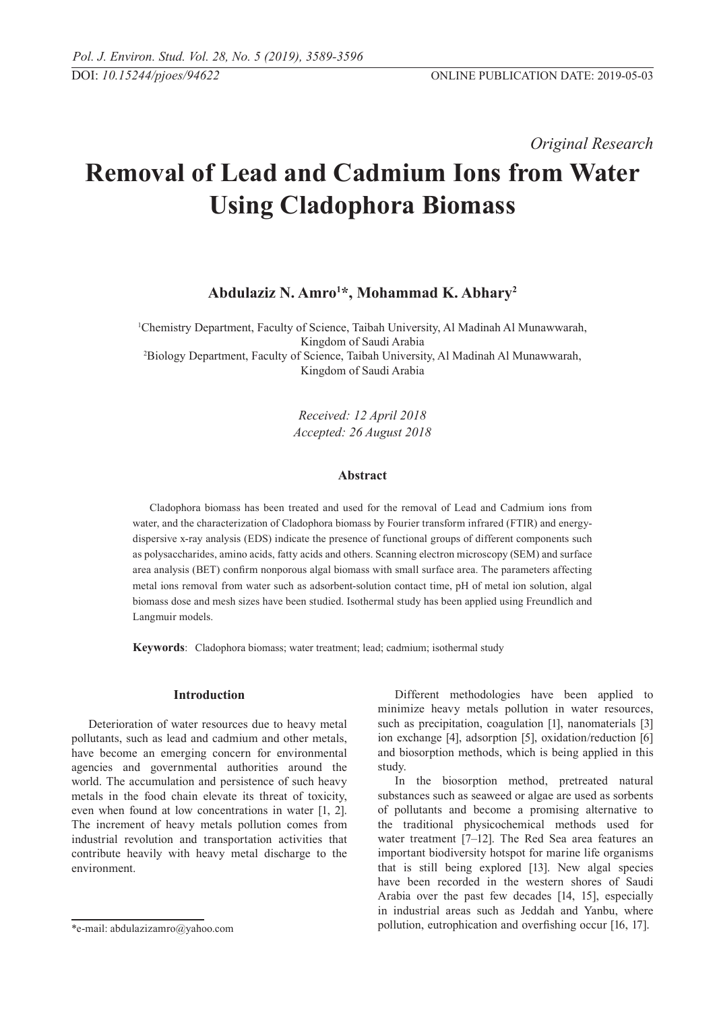*Original Research* 

# **Removal of Lead and Cadmium Ions from Water Using Cladophora Biomass**

# **Abdulaziz N. Amro1 \*, Mohammad K. Abhary2**

1 Chemistry Department, Faculty of Science, Taibah University, Al Madinah Al Munawwarah, Kingdom of Saudi Arabia<br><sup>2</sup>Biology Department, Faculty of Science, Taibah University, Al Madinah Al Munawwarah, Kingdom of Saudi Arabia

> *Received: 12 April 2018 Accepted: 26 August 2018*

#### **Abstract**

Cladophora biomass has been treated and used for the removal of Lead and Cadmium ions from water, and the characterization of Cladophora biomass by Fourier transform infrared (FTIR) and energydispersive x-ray analysis (EDS) indicate the presence of functional groups of different components such as polysaccharides, amino acids, fatty acids and others. Scanning electron microscopy (SEM) and surface area analysis (BET) confirm nonporous algal biomass with small surface area. The parameters affecting metal ions removal from water such as adsorbent-solution contact time, pH of metal ion solution, algal biomass dose and mesh sizes have been studied. Isothermal study has been applied using Freundlich and Langmuir models.

**Keywords**: Cladophora biomass; water treatment; lead; cadmium; isothermal study

#### **Introduction**

Deterioration of water resources due to heavy metal pollutants, such as lead and cadmium and other metals, have become an emerging concern for environmental agencies and governmental authorities around the world. The accumulation and persistence of such heavy metals in the food chain elevate its threat of toxicity, even when found at low concentrations in water [1, 2]. The increment of heavy metals pollution comes from industrial revolution and transportation activities that contribute heavily with heavy metal discharge to the environment.

Different methodologies have been applied to minimize heavy metals pollution in water resources, such as precipitation, coagulation [1], nanomaterials [3] ion exchange [4], adsorption [5], oxidation/reduction [6] and biosorption methods, which is being applied in this study.

In the biosorption method, pretreated natural substances such as seaweed or algae are used as sorbents of pollutants and become a promising alternative to the traditional physicochemical methods used for water treatment [7–12]. The Red Sea area features an important biodiversity hotspot for marine life organisms that is still being explored [13]. New algal species have been recorded in the western shores of Saudi Arabia over the past few decades [14, 15], especially in industrial areas such as Jeddah and Yanbu, where pollution, eutrophication and overfishing occur [16, 17].

<sup>\*</sup>e-mail: abdulazizamro@yahoo.com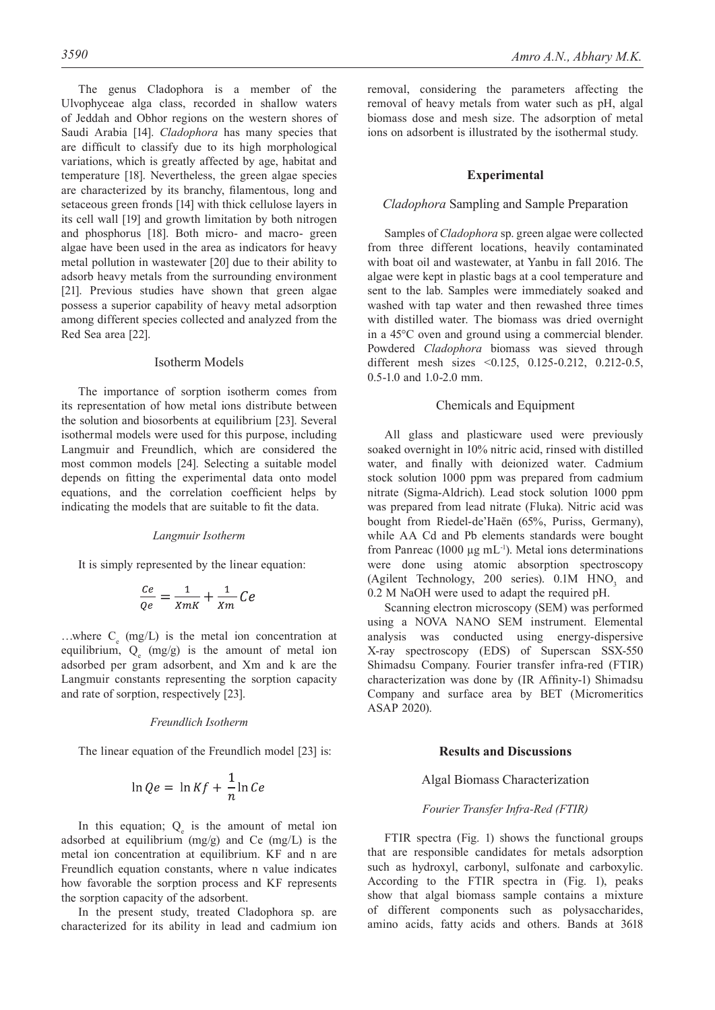The genus Cladophora is a member of the Ulvophyceae alga class, recorded in shallow waters of Jeddah and Obhor regions on the western shores of Saudi Arabia [14]. *Cladophora* has many species that are difficult to classify due to its high morphological variations, which is greatly affected by age, habitat and temperature [18]. Nevertheless, the green algae species are characterized by its branchy, filamentous, long and setaceous green fronds [14] with thick cellulose layers in its cell wall [19] and growth limitation by both nitrogen and phosphorus [18]. Both micro- and macro- green algae have been used in the area as indicators for heavy metal pollution in wastewater [20] due to their ability to adsorb heavy metals from the surrounding environment [21]. Previous studies have shown that green algae possess a superior capability of heavy metal adsorption among different species collected and analyzed from the Red Sea area [22].

#### Isotherm Models

The importance of sorption isotherm comes from its representation of how metal ions distribute between the solution and biosorbents at equilibrium [23]. Several isothermal models were used for this purpose, including Langmuir and Freundlich, which are considered the most common models [24]. Selecting a suitable model depends on fitting the experimental data onto model equations, and the correlation coefficient helps by indicating the models that are suitable to fit the data.

#### *Langmuir Isotherm*

It is simply represented by the linear equation:

$$
\frac{Ce}{Qe} = \frac{1}{XmK} + \frac{1}{Xm}Ce
$$

...where  $C_e$  (mg/L) is the metal ion concentration at equilibrium,  $Q_e$  (mg/g) is the amount of metal ion adsorbed per gram adsorbent, and Xm and k are the Langmuir constants representing the sorption capacity and rate of sorption, respectively [23].

#### *Freundlich Isotherm*

The linear equation of the Freundlich model [23] is:

$$
\ln Qe = \ln Kf + \frac{1}{n}\ln Ce
$$

In this equation;  $Q_e$  is the amount of metal ion adsorbed at equilibrium (mg/g) and Ce (mg/L) is the metal ion concentration at equilibrium. KF and n are Freundlich equation constants, where n value indicates how favorable the sorption process and KF represents the sorption capacity of the adsorbent.

In the present study, treated Cladophora sp. are characterized for its ability in lead and cadmium ion removal, considering the parameters affecting the removal of heavy metals from water such as pH, algal biomass dose and mesh size. The adsorption of metal ions on adsorbent is illustrated by the isothermal study.

### **Experimental**

#### *Cladophora* Sampling and Sample Preparation

Samples of *Cladophora* sp. green algae were collected from three different locations, heavily contaminated with boat oil and wastewater, at Yanbu in fall 2016. The algae were kept in plastic bags at a cool temperature and sent to the lab. Samples were immediately soaked and washed with tap water and then rewashed three times with distilled water. The biomass was dried overnight in a 45°C oven and ground using a commercial blender. Powdered *Cladophora* biomass was sieved through different mesh sizes <0.125, 0.125-0.212, 0.212-0.5, 0.5-1.0 and 1.0-2.0 mm.

#### Chemicals and Equipment

All glass and plasticware used were previously soaked overnight in 10% nitric acid, rinsed with distilled water, and finally with deionized water. Cadmium stock solution 1000 ppm was prepared from cadmium nitrate (Sigma-Aldrich). Lead stock solution 1000 ppm was prepared from lead nitrate (Fluka). Nitric acid was bought from Riedel-de'Haën (65%, Puriss, Germany), while AA Cd and Pb elements standards were bought from Panreac (1000  $\mu$ g mL<sup>-1</sup>). Metal ions determinations were done using atomic absorption spectroscopy (Agilent Technology, 200 series).  $0.1M$  HNO<sub>3</sub> and 0.2 M NaOH were used to adapt the required pH.

Scanning electron microscopy (SEM) was performed using a NOVA NANO SEM instrument. Elemental analysis was conducted using energy-dispersive X-ray spectroscopy (EDS) of Superscan SSX-550 Shimadsu Company. Fourier transfer infra-red (FTIR) characterization was done by (IR Affinity-1) Shimadsu Company and surface area by BET (Micromeritics ASAP 2020).

#### **Results and Discussions**

#### Algal Biomass Characterization

#### *Fourier Transfer Infra-Red (FTIR)*

FTIR spectra (Fig. 1) shows the functional groups that are responsible candidates for metals adsorption such as hydroxyl, carbonyl, sulfonate and carboxylic. According to the FTIR spectra in (Fig. 1), peaks show that algal biomass sample contains a mixture of different components such as polysaccharides, amino acids, fatty acids and others. Bands at 3618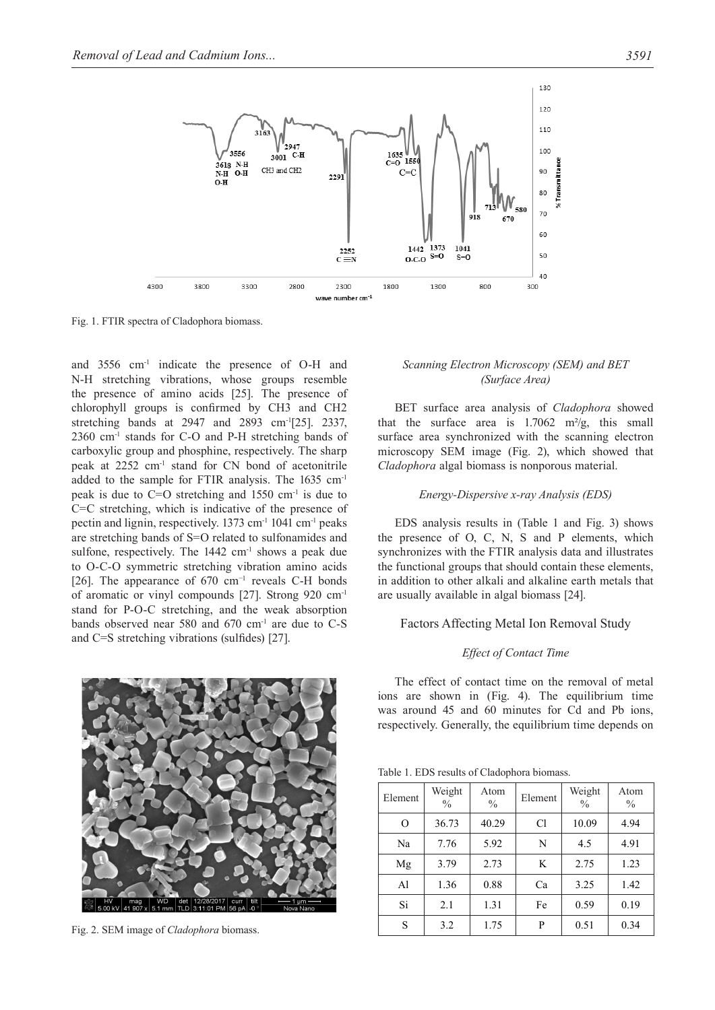

Fig. 1. FTIR spectra of Cladophora biomass.

and 3556 cm-1 indicate the presence of O-H and N-H stretching vibrations, whose groups resemble the presence of amino acids [25]. The presence of chlorophyll groups is confirmed by CH3 and CH2 stretching bands at 2947 and 2893 cm-1[25]. 2337,  $2360$  cm<sup>-1</sup> stands for C-O and P-H stretching bands of carboxylic group and phosphine, respectively. The sharp peak at 2252 cm-1 stand for CN bond of acetonitrile added to the sample for FTIR analysis. The 1635 cm-1 peak is due to  $C=O$  stretching and 1550 cm<sup>-1</sup> is due to C=C stretching, which is indicative of the presence of pectin and lignin, respectively. 1373 cm-1 1041 cm-1 peaks are stretching bands of S=O related to sulfonamides and sulfone, respectively. The 1442 cm<sup>-1</sup> shows a peak due to O-C-O symmetric stretching vibration amino acids [26]. The appearance of 670 cm<sup>-1</sup> reveals C-H bonds of aromatic or vinyl compounds [27]. Strong 920 cm-1 stand for P-O-C stretching, and the weak absorption bands observed near 580 and 670  $cm<sup>-1</sup>$  are due to C-S and C=S stretching vibrations (sulfides) [27].

*Effect of Contact Time* The effect of contact time on the removal of metal ions are shown in (Fig. 4). The equilibrium time was around 45 and 60 minutes for Cd and Pb ions, respectively. Generally, the equilibrium time depends on

Factors Affecting Metal Ion Removal Study

are usually available in algal biomass [24].

*Scanning Electron Microscopy (SEM) and BET (Surface Area)*

BET surface area analysis of *Cladophora* showed that the surface area is  $1.7062$  m<sup>2</sup>/g, this small surface area synchronized with the scanning electron microscopy SEM image (Fig. 2), which showed that *Cladophora* algal biomass is nonporous material.

*Energy-Dispersive x-ray Analysis (EDS)*

EDS analysis results in (Table 1 and Fig. 3) shows the presence of O, C, N, S and P elements, which synchronizes with the FTIR analysis data and illustrates the functional groups that should contain these elements, in addition to other alkali and alkaline earth metals that

Table 1. EDS results of Cladophora biomass.

| Element        | Weight<br>$\frac{0}{0}$ | Atom<br>$\frac{0}{0}$ | Element | Weight<br>$\frac{0}{0}$ | Atom<br>$\frac{0}{0}$ |
|----------------|-------------------------|-----------------------|---------|-------------------------|-----------------------|
| $\Omega$       | 36.73                   | 40.29                 | Cl      | 10.09                   | 4.94                  |
| Na             | 7.76                    | 5.92                  | N       | 4.5                     | 4.91                  |
| Mg             | 3.79                    | 2.73                  | K       | 2.75                    | 1.23                  |
| A <sub>1</sub> | 1.36                    | 0.88                  | Ca      | 3.25                    | 1.42                  |
| Si             | 2.1                     | 1.31                  | Fe      | 0.59                    | 0.19                  |
| S              | 3.2                     | 1.75                  | P       | 0.51                    | 0.34                  |



Fig. 2. SEM image of *Cladophora* biomass.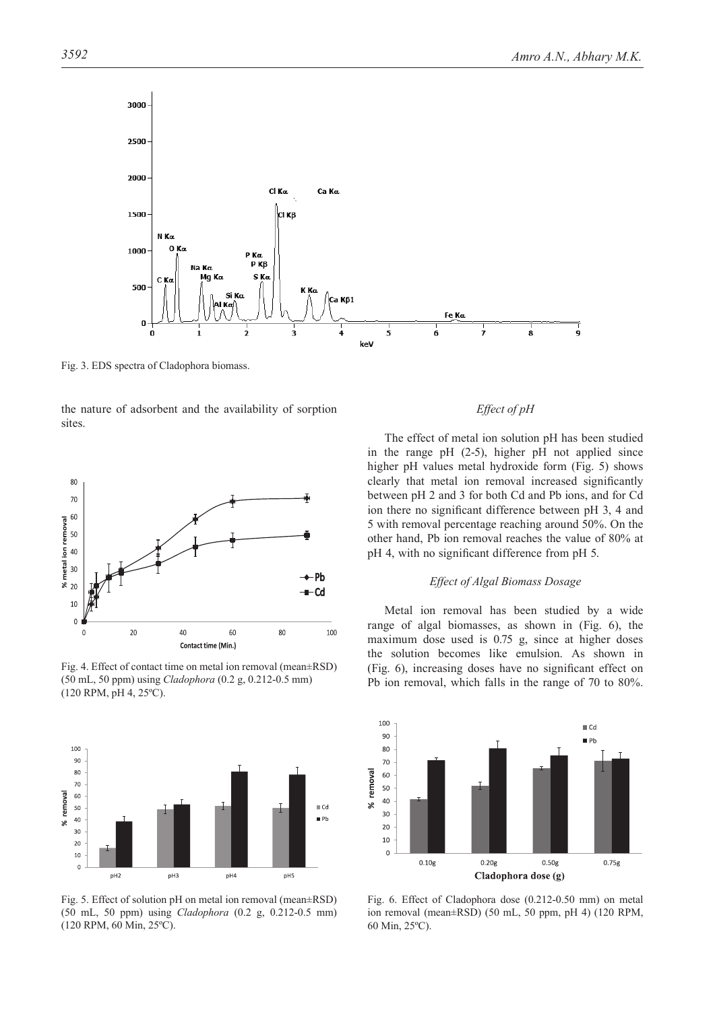

Fig. 3. EDS spectra of Cladophora biomass.

the nature of adsorbent and the availability of sorption sites.



Fig. 4. Effect of contact time on metal ion removal (mean±RSD) (50 mL, 50 ppm) using *Cladophora* (0.2 g, 0.212-0.5 mm) (120 RPM, pH 4, 25ºC).



Fig. 5. Effect of solution pH on metal ion removal (mean±RSD) (50 mL, 50 ppm) using *Cladophora* (0.2 g, 0.212-0.5 mm) (120 RPM, 60 Min, 25ºC).

# *Effect of pH*

The effect of metal ion solution pH has been studied in the range pH (2-5), higher pH not applied since higher pH values metal hydroxide form (Fig. 5) shows clearly that metal ion removal increased significantly between pH 2 and 3 for both Cd and Pb ions, and for Cd ion there no significant difference between pH 3, 4 and 5 with removal percentage reaching around 50%. On the other hand, Pb ion removal reaches the value of 80% at pH 4, with no significant difference from pH 5.

#### *Effect of Algal Biomass Dosage*

Metal ion removal has been studied by a wide range of algal biomasses, as shown in (Fig. 6), the maximum dose used is 0.75 g, since at higher doses the solution becomes like emulsion. As shown in (Fig. 6), increasing doses have no significant effect on Pb ion removal, which falls in the range of 70 to 80%.



Fig. 6. Effect of Cladophora dose (0.212-0.50 mm) on metal ion removal (mean±RSD) (50 mL, 50 ppm, pH 4) (120 RPM, 60 Min, 25ºC).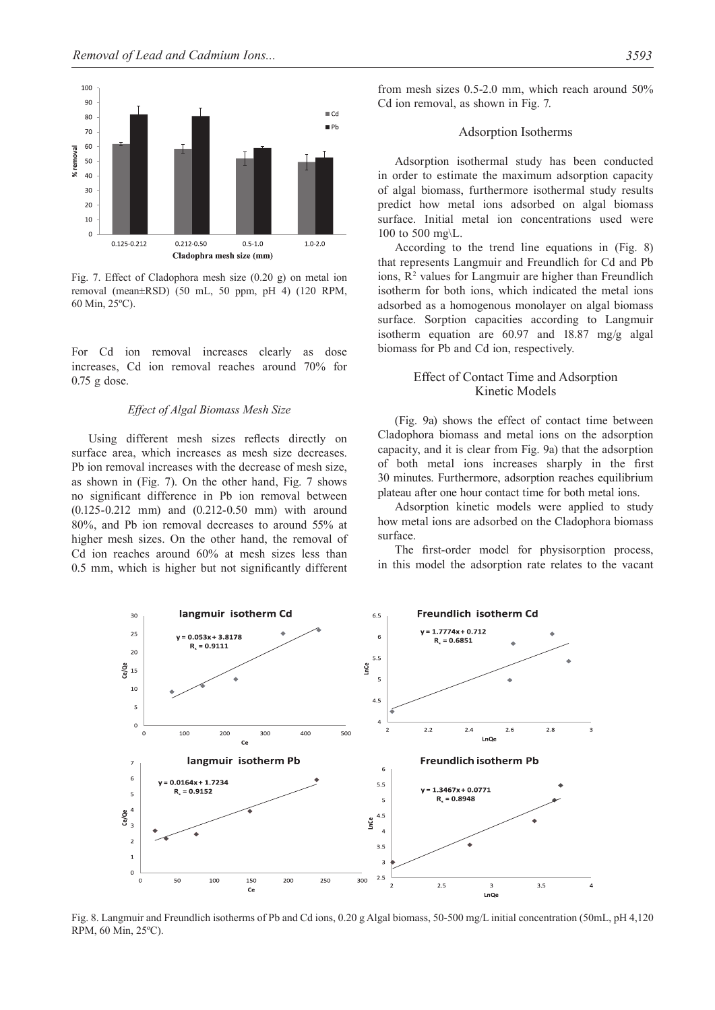

Fig. 7. Effect of Cladophora mesh size (0.20 g) on metal ion removal (mean±RSD) (50 mL, 50 ppm, pH 4) (120 RPM, 60 Min, 25ºC).

For Cd ion removal increases clearly as dose increases, Cd ion removal reaches around 70% for 0.75 g dose.

#### *Effect of Algal Biomass Mesh Size*

Using different mesh sizes reflects directly on surface area, which increases as mesh size decreases. Pb ion removal increases with the decrease of mesh size, as shown in (Fig. 7). On the other hand, Fig. 7 shows no significant difference in Pb ion removal between (0.125-0.212 mm) and (0.212-0.50 mm) with around 80%, and Pb ion removal decreases to around 55% at higher mesh sizes. On the other hand, the removal of Cd ion reaches around 60% at mesh sizes less than 0.5 mm, which is higher but not significantly different

from mesh sizes 0.5-2.0 mm, which reach around 50% Cd ion removal, as shown in Fig. 7.

#### Adsorption Isotherms

Adsorption isothermal study has been conducted in order to estimate the maximum adsorption capacity of algal biomass, furthermore isothermal study results predict how metal ions adsorbed on algal biomass surface. Initial metal ion concentrations used were 100 to 500 mg\L.

According to the trend line equations in (Fig. 8) that represents Langmuir and Freundlich for Cd and Pb ions,  $R<sup>2</sup>$  values for Langmuir are higher than Freundlich isotherm for both ions, which indicated the metal ions adsorbed as a homogenous monolayer on algal biomass surface. Sorption capacities according to Langmuir isotherm equation are 60.97 and 18.87 mg/g algal biomass for Pb and Cd ion, respectively.

# Effect of Contact Time and Adsorption Kinetic Models

(Fig. 9a) shows the effect of contact time between Cladophora biomass and metal ions on the adsorption capacity, and it is clear from Fig. 9a) that the adsorption of both metal ions increases sharply in the first 30 minutes. Furthermore, adsorption reaches equilibrium plateau after one hour contact time for both metal ions.

Adsorption kinetic models were applied to study how metal ions are adsorbed on the Cladophora biomass surface.

The first-order model for physisorption process, in this model the adsorption rate relates to the vacant



Fig. 8. Langmuir and Freundlich isotherms of Pb and Cd ions, 0.20 g Algal biomass, 50-500 mg/L initial concentration (50mL, pH 4,120 RPM, 60 Min, 25ºC).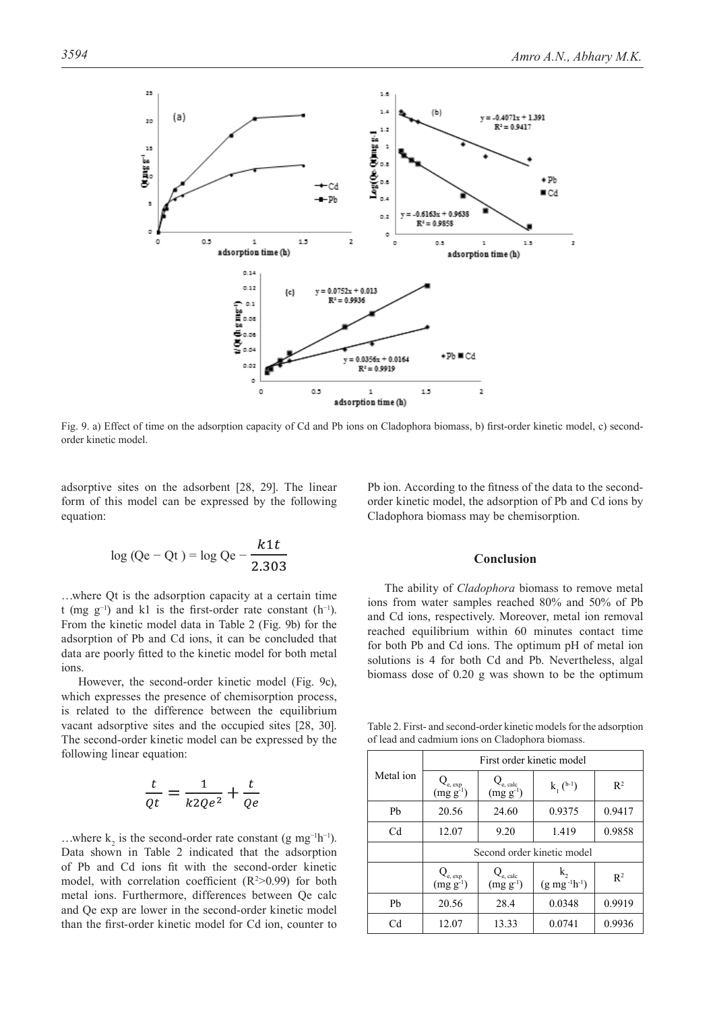

Fig. 9. a) Effect of time on the adsorption capacity of Cd and Pb ions on Cladophora biomass, b) first-order kinetic model, c) secondorder kinetic model.

adsorptive sites on the adsorbent [28, 29]. The linear form of this model can be expressed by the following equation:

$$
\log (Qe - Qt) = \log Qe - \frac{k1t}{2.303}
$$

…where Qt is the adsorption capacity at a certain time t (mg g<sup>-1</sup>) and k1 is the first-order rate constant (h<sup>-1</sup>). From the kinetic model data in Table 2 (Fig. 9b) for the adsorption of Pb and Cd ions, it can be concluded that data are poorly fitted to the kinetic model for both metal ions.

However, the second-order kinetic model (Fig. 9c), which expresses the presence of chemisorption process, is related to the difference between the equilibrium vacant adsorptive sites and the occupied sites [28, 30]. The second-order kinetic model can be expressed by the following linear equation:

$$
\frac{t}{Qt} = \frac{1}{k2Qe^2} + \frac{t}{Qe}
$$

…where  $k_2$  is the second-order rate constant (g mg<sup>-1</sup>h<sup>-1</sup>). Data shown in Table 2 indicated that the adsorption of Pb and Cd ions fit with the second-order kinetic model, with correlation coefficient  $(R^2>0.99)$  for both metal ions. Furthermore, differences between Qe calc and Qe exp are lower in the second-order kinetic model than the first-order kinetic model for Cd ion, counter to

Pb ion. According to the fitness of the data to the secondorder kinetic model, the adsorption of Pb and Cd ions by Cladophora biomass may be chemisorption.

#### **Conclusion**

The ability of *Cladophora* biomass to remove metal ions from water samples reached 80% and 50% of Pb and Cd ions, respectively. Moreover, metal ion removal reached equilibrium within 60 minutes contact time for both Pb and Cd ions. The optimum pH of metal ion solutions is 4 for both Cd and Pb. Nevertheless, algal biomass dose of 0.20 g was shown to be the optimum

Table 2. First- and second-order kinetic models for the adsorption of lead and cadmium ions on Cladophora biomass.

|                | First order kinetic model             |                                                |                     |                |  |  |
|----------------|---------------------------------------|------------------------------------------------|---------------------|----------------|--|--|
| Metal ion      | $Q_{e, exp}$<br>(mg g <sup>-1</sup> ) | $Q_{e, \text{ calc}}$<br>(mg g <sup>-1</sup> ) | $k_1$ $(h^{-1})$    | R <sup>2</sup> |  |  |
| Pb             | 20.56                                 | 24.60                                          | 0.9375              | 0.9417         |  |  |
| C <sub>d</sub> | 12.07                                 | 9.20                                           | 1.419               | 0.9858         |  |  |
|                | Second order kinetic model            |                                                |                     |                |  |  |
|                | $Q_{e, exp}$<br>(mg g <sup>-1</sup> ) | $Q_{e, \text{ calc}}$<br>$(mg g-1)$            | $(g mg^{-1}h^{-1})$ | $R^2$          |  |  |
| Ph             | 20.56                                 | 28.4                                           | 0.0348              | 0.9919         |  |  |
| Cd             | 12.07                                 | 13.33                                          | 0.0741              | 0.9936         |  |  |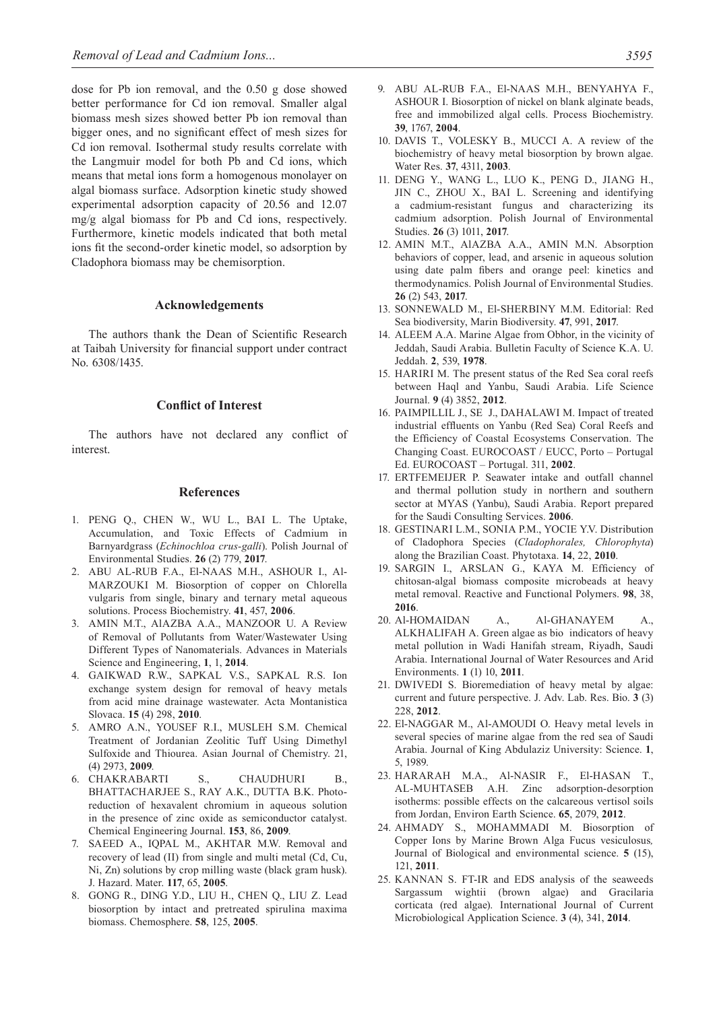dose for Pb ion removal, and the 0.50 g dose showed better performance for Cd ion removal. Smaller algal biomass mesh sizes showed better Pb ion removal than bigger ones, and no significant effect of mesh sizes for Cd ion removal. Isothermal study results correlate with the Langmuir model for both Pb and Cd ions, which means that metal ions form a homogenous monolayer on algal biomass surface. Adsorption kinetic study showed experimental adsorption capacity of 20.56 and 12.07 mg/g algal biomass for Pb and Cd ions, respectively. Furthermore, kinetic models indicated that both metal ions fit the second-order kinetic model, so adsorption by Cladophora biomass may be chemisorption.

#### **Acknowledgements**

The authors thank the Dean of Scientific Research at Taibah University for financial support under contract No. 6308/1435.

# **Conflict of Interest**

The authors have not declared any conflict of interest.

## **References**

- 1. PENG Q., CHEN W., WU L., BAI L. The Uptake, Accumulation, and Toxic Effects of Cadmium in Barnyardgrass (*Echinochloa crus-galli*). Polish Journal of Environmental Studies. **26** (2) 779, **2017**.
- 2. ABU AL-RUB F.A., El-NAAS M.H., ASHOUR I., Al-MARZOUKI M. Biosorption of copper on Chlorella vulgaris from single, binary and ternary metal aqueous solutions. Process Biochemistry. **41**, 457, **2006**.
- 3. AMIN M.T., AlAZBA A.A., MANZOOR U. A Review of Removal of Pollutants from Water/Wastewater Using Different Types of Nanomaterials. Advances in Materials Science and Engineering, **1**, 1, **2014**.
- 4. GAIKWAD R.W., SAPKAL V.S., SAPKAL R.S. Ion exchange system design for removal of heavy metals from acid mine drainage wastewater. Acta Montanistica Slovaca. **15** (4) 298, **2010**.
- 5. AMRO A.N., YOUSEF R.I., MUSLEH S.M. Chemical Treatment of Jordanian Zeolitic Tuff Using Dimethyl Sulfoxide and Thiourea. Asian Journal of Chemistry. 21, (4) 2973, **2009**.
- 6. CHAKRABARTI S., CHAUDHURI B., BHATTACHARJEE S., RAY A.K., DUTTA B.K. Photoreduction of hexavalent chromium in aqueous solution in the presence of zinc oxide as semiconductor catalyst. Chemical Engineering Journal. **153**, 86, **2009**.
- 7. SAEED A., IQPAL M., AKHTAR M.W. Removal and recovery of lead (II) from single and multi metal (Cd, Cu, Ni, Zn) solutions by crop milling waste (black gram husk). J. Hazard. Mater. **117**, 65, **2005**.
- 8. GONG R., DING Y.D., LIU H., CHEN Q., LIU Z. Lead biosorption by intact and pretreated spirulina maxima biomass. Chemosphere. **58**, 125, **2005**.
- 9. ABU AL-RUB F.A., El-NAAS M.H., BENYAHYA F., ASHOUR I. Biosorption of nickel on blank alginate beads, free and immobilized algal cells. Process Biochemistry. **39**, 1767, **2004**.
- 10. DAVIS T., VOLESKY B., MUCCI A. A review of the biochemistry of heavy metal biosorption by brown algae. Water Res. **37**, 4311, **2003**.
- 11. DENG Y., WANG L., LUO K., PENG D., JIANG H., JIN C., ZHOU X., BAI L. Screening and identifying a cadmium-resistant fungus and characterizing its cadmium adsorption. Polish Journal of Environmental Studies. **26** (3) 1011, **2017**.
- 12. AMIN M.T., AlAZBA A.A., AMIN M.N. Absorption behaviors of copper, lead, and arsenic in aqueous solution using date palm fibers and orange peel: kinetics and thermodynamics. Polish Journal of Environmental Studies. **26** (2) 543, **2017**.
- 13. SONNEWALD M., El-SHERBINY M.M. Editorial: Red Sea biodiversity, Marin Biodiversity. **47**, 991, **2017**.
- 14. ALEEM A.A. Marine Algae from Obhor, in the vicinity of Jeddah, Saudi Arabia. Bulletin Faculty of Science K.A. U. Jeddah. **2**, 539, **1978**.
- 15. HARIRI M. The present status of the Red Sea coral reefs between Haql and Yanbu, Saudi Arabia. Life Science Journal. **9** (4) 3852, **2012**.
- 16. PAIMPILLIL J., SE J., DAHALAWI M. Impact of treated industrial effluents on Yanbu (Red Sea) Coral Reefs and the Efficiency of Coastal Ecosystems Conservation. The Changing Coast. EUROCOAST / EUCC, Porto – Portugal Ed. EUROCOAST *–* Portugal. 311, **2002**.
- 17. ERTFEMEIJER P. Seawater intake and outfall channel and thermal pollution study in northern and southern sector at MYAS (Yanbu), Saudi Arabia. Report prepared for the Saudi Consulting Services. **2006**.
- 18. GESTINARI L.M., SONIA P.M., YOCIE Y.V. Distribution of Cladophora Species (*Cladophorales, Chlorophyta*) along the Brazilian Coast. Phytotaxa. **14**, 22, **2010**.
- 19. SARGIN I., ARSLAN G., KAYA M. Efficiency of chitosan-algal biomass composite microbeads at heavy metal removal. Reactive and Functional Polymers. **98**, 38, **2016**.
- 20. Al-HOMAIDAN A., Al-GHANAYEM A., ALKHALIFAH A. Green algae as bio indicators of heavy metal pollution in Wadi Hanifah stream, Riyadh, Saudi Arabia. International Journal of Water Resources and Arid Environments. **1** (1) 10, **2011**.
- 21. DWIVEDI S. Bioremediation of heavy metal by algae: current and future perspective. J. Adv. Lab. Res. Bio. **3** (3) 228, **2012**.
- 22. El-NAGGAR M., Al-AMOUDI O. Heavy metal levels in several species of marine algae from the red sea of Saudi Arabia. Journal of King Abdulaziz University: Science. **1**, 5, 1989.
- 23. HARARAH M.A., Al-NASIR F., El-HASAN T., AL-MUHTASEB A.H. Zinc adsorption-desorption isotherms: possible effects on the calcareous vertisol soils from Jordan, Environ Earth Science. **65**, 2079, **2012**.
- 24. AHMADY S., MOHAMMADI M. Biosorption of Copper Ions by Marine Brown Alga Fucus vesiculosus*,*  Journal of Biological and environmental science. **5** (15), 121, **2011**.
- 25. KANNAN S. FT-IR and EDS analysis of the seaweeds Sargassum wightii (brown algae) and Gracilaria corticata (red algae). International Journal of Current Microbiological Application Science. **3** (4), 341, **2014**.